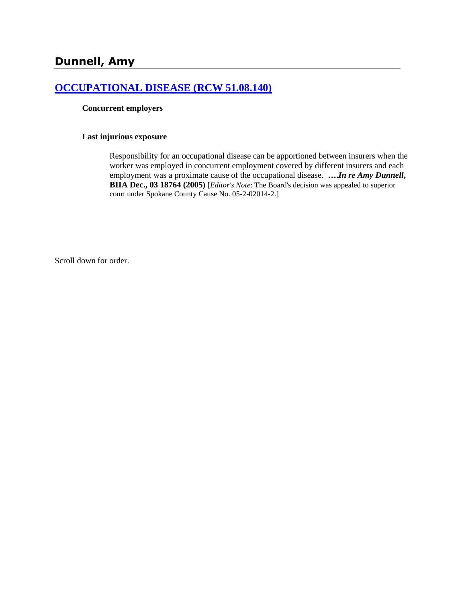## **[OCCUPATIONAL DISEASE \(RCW 51.08.140\)](http://www.biia.wa.gov/SDSubjectIndex.html#OCCUPATIONAL_DISEASE)**

#### **Concurrent employers**

#### **Last injurious exposure**

Responsibility for an occupational disease can be apportioned between insurers when the worker was employed in concurrent employment covered by different insurers and each employment was a proximate cause of the occupational disease. **….***In re Amy Dunnell***, BIIA Dec., 03 18764 (2005)** [*Editor's Note*: The Board's decision was appealed to superior court under Spokane County Cause No. 05-2-02014-2.]

Scroll down for order.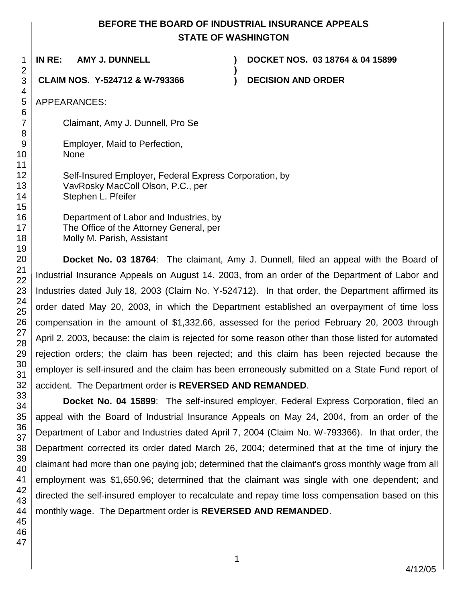# **BEFORE THE BOARD OF INDUSTRIAL INSURANCE APPEALS STATE OF WASHINGTON**

**)**

**IN RE: AMY J. DUNNELL ) DOCKET NOS. 03 18764 & 04 15899**

**CLAIM NOS. Y-524712 & W-793366 ) DECISION AND ORDER**

APPEARANCES:

Claimant, Amy J. Dunnell, Pro Se

Employer, Maid to Perfection,

- None
	- Self-Insured Employer, Federal Express Corporation, by VavRosky MacColl Olson, P.C., per Stephen L. Pfeifer

Department of Labor and Industries, by The Office of the Attorney General, per Molly M. Parish, Assistant

**Docket No. 03 18764**: The claimant, Amy J. Dunnell, filed an appeal with the Board of Industrial Insurance Appeals on August 14, 2003, from an order of the Department of Labor and Industries dated July 18, 2003 (Claim No. Y-524712). In that order, the Department affirmed its order dated May 20, 2003, in which the Department established an overpayment of time loss compensation in the amount of \$1,332.66, assessed for the period February 20, 2003 through April 2, 2003, because: the claim is rejected for some reason other than those listed for automated rejection orders; the claim has been rejected; and this claim has been rejected because the employer is self-insured and the claim has been erroneously submitted on a State Fund report of accident. The Department order is **REVERSED AND REMANDED**.

**Docket No. 04 15899**: The self-insured employer, Federal Express Corporation, filed an appeal with the Board of Industrial Insurance Appeals on May 24, 2004, from an order of the Department of Labor and Industries dated April 7, 2004 (Claim No. W-793366). In that order, the Department corrected its order dated March 26, 2004; determined that at the time of injury the claimant had more than one paying job; determined that the claimant's gross monthly wage from all employment was \$1,650.96; determined that the claimant was single with one dependent; and directed the self-insured employer to recalculate and repay time loss compensation based on this monthly wage. The Department order is **REVERSED AND REMANDED**.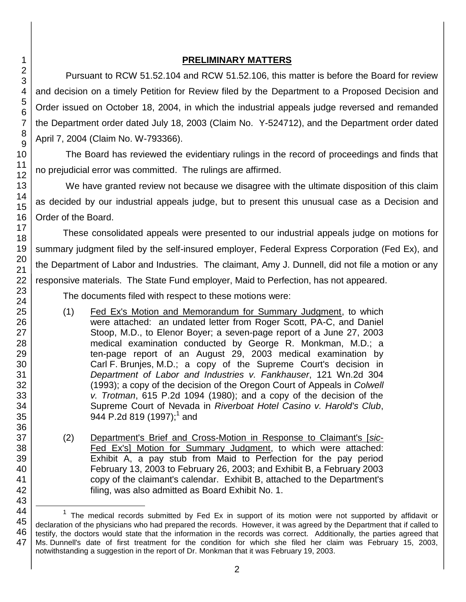#### **PRELIMINARY MATTERS**

Pursuant to RCW 51.52.104 and RCW 51.52.106, this matter is before the Board for review and decision on a timely Petition for Review filed by the Department to a Proposed Decision and Order issued on October 18, 2004, in which the industrial appeals judge reversed and remanded the Department order dated July 18, 2003 (Claim No. Y-524712), and the Department order dated April 7, 2004 (Claim No. W-793366).

The Board has reviewed the evidentiary rulings in the record of proceedings and finds that no prejudicial error was committed. The rulings are affirmed.

We have granted review not because we disagree with the ultimate disposition of this claim as decided by our industrial appeals judge, but to present this unusual case as a Decision and Order of the Board.

These consolidated appeals were presented to our industrial appeals judge on motions for summary judgment filed by the self-insured employer, Federal Express Corporation (Fed Ex), and the Department of Labor and Industries. The claimant, Amy J. Dunnell, did not file a motion or any responsive materials. The State Fund employer, Maid to Perfection, has not appeared.

The documents filed with respect to these motions were:

- (1) Fed Ex's Motion and Memorandum for Summary Judgment, to which were attached: an undated letter from Roger Scott, PA-C, and Daniel Stoop, M.D., to Elenor Boyer; a seven-page report of a June 27, 2003 medical examination conducted by George R. Monkman, M.D.; a ten-page report of an August 29, 2003 medical examination by Carl F. Brunjes, M.D.; a copy of the Supreme Court's decision in *Department of Labor and Industries v. Fankhauser*, 121 Wn.2d 304 (1993); a copy of the decision of the Oregon Court of Appeals in *Colwell v. Trotman*, 615 P.2d 1094 (1980); and a copy of the decision of the Supreme Court of Nevada in *Riverboat Hotel Casino v. Harold's Club*, 944 P.2d 819 (1997); $^1$  and
- (2) Department's Brief and Cross-Motion in Response to Claimant's [*sic*-Fed Ex's] Motion for Summary Judgment, to which were attached: Exhibit A, a pay stub from Maid to Perfection for the pay period February 13, 2003 to February 26, 2003; and Exhibit B, a February 2003 copy of the claimant's calendar. Exhibit B, attached to the Department's filing, was also admitted as Board Exhibit No. 1.

l

 $1$  The medical records submitted by Fed Ex in support of its motion were not supported by affidavit or declaration of the physicians who had prepared the records. However, it was agreed by the Department that if called to testify, the doctors would state that the information in the records was correct. Additionally, the parties agreed that Ms. Dunnell's date of first treatment for the condition for which she filed her claim was February 15, 2003, notwithstanding a suggestion in the report of Dr. Monkman that it was February 19, 2003.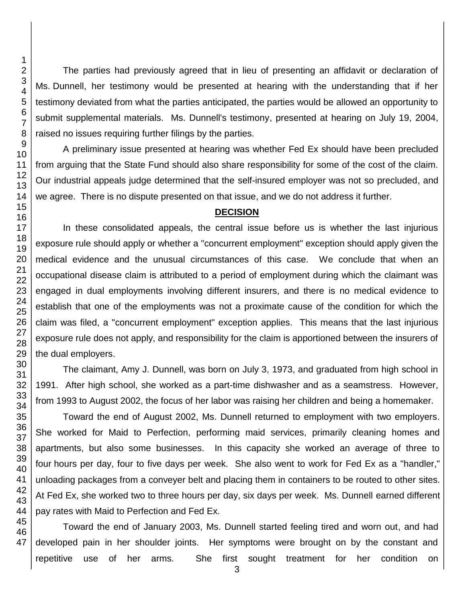The parties had previously agreed that in lieu of presenting an affidavit or declaration of Ms. Dunnell, her testimony would be presented at hearing with the understanding that if her testimony deviated from what the parties anticipated, the parties would be allowed an opportunity to submit supplemental materials. Ms. Dunnell's testimony, presented at hearing on July 19, 2004, raised no issues requiring further filings by the parties.

A preliminary issue presented at hearing was whether Fed Ex should have been precluded from arguing that the State Fund should also share responsibility for some of the cost of the claim. Our industrial appeals judge determined that the self-insured employer was not so precluded, and we agree. There is no dispute presented on that issue, and we do not address it further.

#### **DECISION**

In these consolidated appeals, the central issue before us is whether the last injurious exposure rule should apply or whether a "concurrent employment" exception should apply given the medical evidence and the unusual circumstances of this case. We conclude that when an occupational disease claim is attributed to a period of employment during which the claimant was engaged in dual employments involving different insurers, and there is no medical evidence to establish that one of the employments was not a proximate cause of the condition for which the claim was filed, a "concurrent employment" exception applies. This means that the last injurious exposure rule does not apply, and responsibility for the claim is apportioned between the insurers of the dual employers.

The claimant, Amy J. Dunnell, was born on July 3, 1973, and graduated from high school in 1991. After high school, she worked as a part-time dishwasher and as a seamstress. However, from 1993 to August 2002, the focus of her labor was raising her children and being a homemaker.

Toward the end of August 2002, Ms. Dunnell returned to employment with two employers. She worked for Maid to Perfection, performing maid services, primarily cleaning homes and apartments, but also some businesses. In this capacity she worked an average of three to four hours per day, four to five days per week. She also went to work for Fed Ex as a "handler," unloading packages from a conveyer belt and placing them in containers to be routed to other sites. At Fed Ex, she worked two to three hours per day, six days per week. Ms. Dunnell earned different pay rates with Maid to Perfection and Fed Ex.

47 Toward the end of January 2003, Ms. Dunnell started feeling tired and worn out, and had developed pain in her shoulder joints. Her symptoms were brought on by the constant and repetitive use of her arms. She first sought treatment for her condition on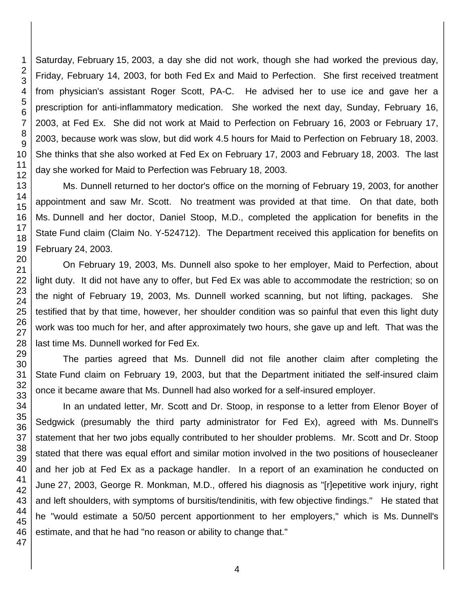Saturday, February 15, 2003, a day she did not work, though she had worked the previous day, Friday, February 14, 2003, for both Fed Ex and Maid to Perfection. She first received treatment from physician's assistant Roger Scott, PA-C. He advised her to use ice and gave her a prescription for anti-inflammatory medication. She worked the next day, Sunday, February 16, 2003, at Fed Ex. She did not work at Maid to Perfection on February 16, 2003 or February 17, 2003, because work was slow, but did work 4.5 hours for Maid to Perfection on February 18, 2003. She thinks that she also worked at Fed Ex on February 17, 2003 and February 18, 2003. The last day she worked for Maid to Perfection was February 18, 2003.

Ms. Dunnell returned to her doctor's office on the morning of February 19, 2003, for another appointment and saw Mr. Scott. No treatment was provided at that time. On that date, both Ms. Dunnell and her doctor, Daniel Stoop, M.D., completed the application for benefits in the State Fund claim (Claim No. Y-524712). The Department received this application for benefits on February 24, 2003.

On February 19, 2003, Ms. Dunnell also spoke to her employer, Maid to Perfection, about light duty. It did not have any to offer, but Fed Ex was able to accommodate the restriction; so on the night of February 19, 2003, Ms. Dunnell worked scanning, but not lifting, packages. She testified that by that time, however, her shoulder condition was so painful that even this light duty work was too much for her, and after approximately two hours, she gave up and left. That was the last time Ms. Dunnell worked for Fed Ex.

The parties agreed that Ms. Dunnell did not file another claim after completing the State Fund claim on February 19, 2003, but that the Department initiated the self-insured claim once it became aware that Ms. Dunnell had also worked for a self-insured employer.

In an undated letter, Mr. Scott and Dr. Stoop, in response to a letter from Elenor Boyer of Sedgwick (presumably the third party administrator for Fed Ex), agreed with Ms. Dunnell's statement that her two jobs equally contributed to her shoulder problems. Mr. Scott and Dr. Stoop stated that there was equal effort and similar motion involved in the two positions of housecleaner and her job at Fed Ex as a package handler. In a report of an examination he conducted on June 27, 2003, George R. Monkman, M.D., offered his diagnosis as "[r]epetitive work injury, right and left shoulders, with symptoms of bursitis/tendinitis, with few objective findings." He stated that he "would estimate a 50/50 percent apportionment to her employers," which is Ms. Dunnell's estimate, and that he had "no reason or ability to change that."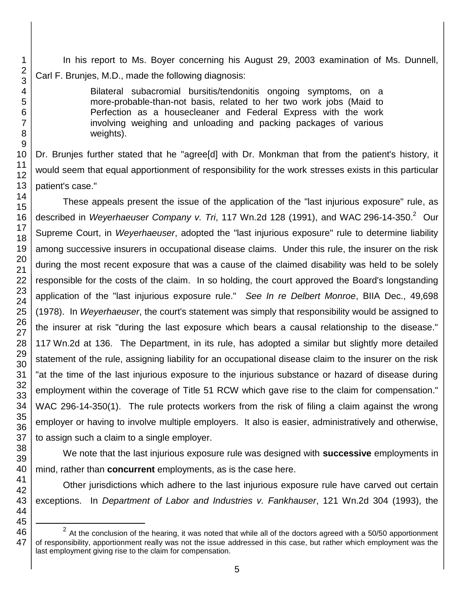In his report to Ms. Boyer concerning his August 29, 2003 examination of Ms. Dunnell, Carl F. Brunjes, M.D., made the following diagnosis:

> Bilateral subacromial bursitis/tendonitis ongoing symptoms, on a more-probable-than-not basis, related to her two work jobs (Maid to Perfection as a housecleaner and Federal Express with the work involving weighing and unloading and packing packages of various weights).

Dr. Brunjes further stated that he "agree[d] with Dr. Monkman that from the patient's history, it would seem that equal apportionment of responsibility for the work stresses exists in this particular patient's case."

These appeals present the issue of the application of the "last injurious exposure" rule, as described in Weyerhaeuser Company v. Tri, 117 Wn.2d 128 (1991), and WAC 296-14-350.<sup>2</sup> Our Supreme Court, in *Weyerhaeuser*, adopted the "last injurious exposure" rule to determine liability among successive insurers in occupational disease claims. Under this rule, the insurer on the risk during the most recent exposure that was a cause of the claimed disability was held to be solely responsible for the costs of the claim. In so holding, the court approved the Board's longstanding application of the "last injurious exposure rule." *See In re Delbert Monroe*, BIIA Dec., 49,698 (1978). In *Weyerhaeuser*, the court's statement was simply that responsibility would be assigned to the insurer at risk "during the last exposure which bears a causal relationship to the disease." Wn.2d at 136. The Department, in its rule, has adopted a similar but slightly more detailed statement of the rule, assigning liability for an occupational disease claim to the insurer on the risk "at the time of the last injurious exposure to the injurious substance or hazard of disease during employment within the coverage of Title 51 RCW which gave rise to the claim for compensation." WAC 296-14-350(1). The rule protects workers from the risk of filing a claim against the wrong employer or having to involve multiple employers. It also is easier, administratively and otherwise, to assign such a claim to a single employer.

We note that the last injurious exposure rule was designed with **successive** employments in mind, rather than **concurrent** employments, as is the case here.

Other jurisdictions which adhere to the last injurious exposure rule have carved out certain exceptions. In *Department of Labor and Industries v. Fankhauser*, 121 Wn.2d 304 (1993), the

 At the conclusion of the hearing, it was noted that while all of the doctors agreed with a 50/50 apportionment of responsibility, apportionment really was not the issue addressed in this case, but rather which employment was the last employment giving rise to the claim for compensation.

l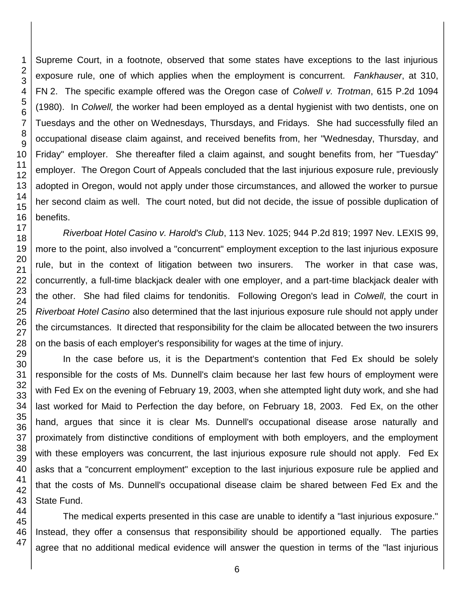Supreme Court, in a footnote, observed that some states have exceptions to the last injurious exposure rule, one of which applies when the employment is concurrent. *Fankhauser*, at 310, FN 2. The specific example offered was the Oregon case of *Colwell v. Trotman*, 615 P.2d 1094 (1980). In *Colwell,* the worker had been employed as a dental hygienist with two dentists, one on Tuesdays and the other on Wednesdays, Thursdays, and Fridays. She had successfully filed an occupational disease claim against, and received benefits from, her "Wednesday, Thursday, and Friday" employer. She thereafter filed a claim against, and sought benefits from, her "Tuesday" employer. The Oregon Court of Appeals concluded that the last injurious exposure rule, previously adopted in Oregon, would not apply under those circumstances, and allowed the worker to pursue her second claim as well. The court noted, but did not decide, the issue of possible duplication of benefits.

*Riverboat Hotel Casino v. Harold's Club*, 113 Nev. 1025; 944 P.2d 819; 1997 Nev. LEXIS 99, more to the point, also involved a "concurrent" employment exception to the last injurious exposure rule, but in the context of litigation between two insurers. The worker in that case was, concurrently, a full-time blackjack dealer with one employer, and a part-time blackjack dealer with the other. She had filed claims for tendonitis. Following Oregon's lead in *Colwell*, the court in *Riverboat Hotel Casino* also determined that the last injurious exposure rule should not apply under the circumstances. It directed that responsibility for the claim be allocated between the two insurers on the basis of each employer's responsibility for wages at the time of injury.

In the case before us, it is the Department's contention that Fed Ex should be solely responsible for the costs of Ms. Dunnell's claim because her last few hours of employment were with Fed Ex on the evening of February 19, 2003, when she attempted light duty work, and she had last worked for Maid to Perfection the day before, on February 18, 2003. Fed Ex, on the other hand, argues that since it is clear Ms. Dunnell's occupational disease arose naturally and proximately from distinctive conditions of employment with both employers, and the employment with these employers was concurrent, the last injurious exposure rule should not apply. Fed Ex asks that a "concurrent employment" exception to the last injurious exposure rule be applied and that the costs of Ms. Dunnell's occupational disease claim be shared between Fed Ex and the State Fund.

The medical experts presented in this case are unable to identify a "last injurious exposure." Instead, they offer a consensus that responsibility should be apportioned equally. The parties agree that no additional medical evidence will answer the question in terms of the "last injurious

47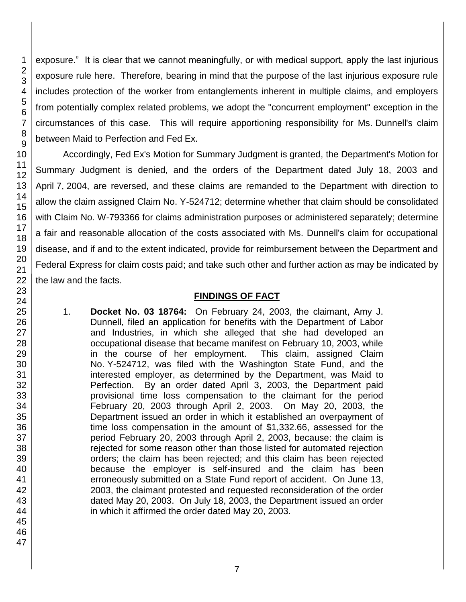exposure." It is clear that we cannot meaningfully, or with medical support, apply the last injurious exposure rule here. Therefore, bearing in mind that the purpose of the last injurious exposure rule includes protection of the worker from entanglements inherent in multiple claims, and employers from potentially complex related problems, we adopt the "concurrent employment" exception in the circumstances of this case. This will require apportioning responsibility for Ms. Dunnell's claim between Maid to Perfection and Fed Ex.

Accordingly, Fed Ex's Motion for Summary Judgment is granted, the Department's Motion for Summary Judgment is denied, and the orders of the Department dated July 18, 2003 and April 7, 2004, are reversed, and these claims are remanded to the Department with direction to allow the claim assigned Claim No. Y-524712; determine whether that claim should be consolidated with Claim No. W-793366 for claims administration purposes or administered separately; determine a fair and reasonable allocation of the costs associated with Ms. Dunnell's claim for occupational disease, and if and to the extent indicated, provide for reimbursement between the Department and Federal Express for claim costs paid; and take such other and further action as may be indicated by the law and the facts.

## **FINDINGS OF FACT**

1. **Docket No. 03 18764:** On February 24, 2003, the claimant, Amy J. Dunnell, filed an application for benefits with the Department of Labor and Industries, in which she alleged that she had developed an occupational disease that became manifest on February 10, 2003, while in the course of her employment. This claim, assigned Claim No. Y-524712, was filed with the Washington State Fund, and the interested employer, as determined by the Department, was Maid to Perfection. By an order dated April 3, 2003, the Department paid provisional time loss compensation to the claimant for the period February 20, 2003 through April 2, 2003. On May 20, 2003, the Department issued an order in which it established an overpayment of time loss compensation in the amount of \$1,332.66, assessed for the period February 20, 2003 through April 2, 2003, because: the claim is rejected for some reason other than those listed for automated rejection orders; the claim has been rejected; and this claim has been rejected because the employer is self-insured and the claim has been erroneously submitted on a State Fund report of accident. On June 13, 2003, the claimant protested and requested reconsideration of the order dated May 20, 2003. On July 18, 2003, the Department issued an order in which it affirmed the order dated May 20, 2003.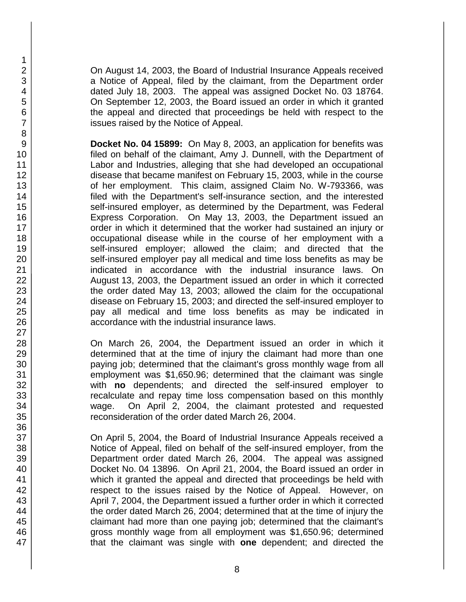On August 14, 2003, the Board of Industrial Insurance Appeals received a Notice of Appeal, filed by the claimant, from the Department order dated July 18, 2003. The appeal was assigned Docket No. 03 18764. On September 12, 2003, the Board issued an order in which it granted the appeal and directed that proceedings be held with respect to the issues raised by the Notice of Appeal.

**Docket No. 04 15899:** On May 8, 2003, an application for benefits was filed on behalf of the claimant, Amy J. Dunnell, with the Department of Labor and Industries, alleging that she had developed an occupational disease that became manifest on February 15, 2003, while in the course of her employment. This claim, assigned Claim No. W-793366, was filed with the Department's self-insurance section, and the interested self-insured employer, as determined by the Department, was Federal Express Corporation. On May 13, 2003, the Department issued an order in which it determined that the worker had sustained an injury or occupational disease while in the course of her employment with a self-insured employer; allowed the claim; and directed that the self-insured employer pay all medical and time loss benefits as may be indicated in accordance with the industrial insurance laws. On August 13, 2003, the Department issued an order in which it corrected the order dated May 13, 2003; allowed the claim for the occupational disease on February 15, 2003; and directed the self-insured employer to pay all medical and time loss benefits as may be indicated in accordance with the industrial insurance laws.

On March 26, 2004, the Department issued an order in which it determined that at the time of injury the claimant had more than one paying job; determined that the claimant's gross monthly wage from all employment was \$1,650.96; determined that the claimant was single with **no** dependents; and directed the self-insured employer to recalculate and repay time loss compensation based on this monthly wage. On April 2, 2004, the claimant protested and requested reconsideration of the order dated March 26, 2004.

On April 5, 2004, the Board of Industrial Insurance Appeals received a Notice of Appeal, filed on behalf of the self-insured employer, from the Department order dated March 26, 2004. The appeal was assigned Docket No. 04 13896. On April 21, 2004, the Board issued an order in which it granted the appeal and directed that proceedings be held with respect to the issues raised by the Notice of Appeal. However, on April 7, 2004, the Department issued a further order in which it corrected the order dated March 26, 2004; determined that at the time of injury the claimant had more than one paying job; determined that the claimant's gross monthly wage from all employment was \$1,650.96; determined that the claimant was single with **one** dependent; and directed the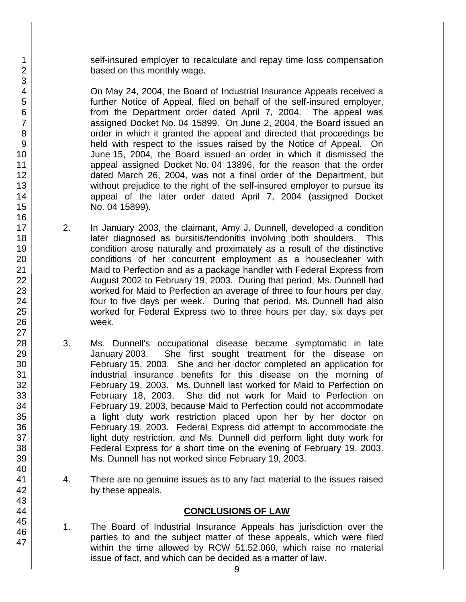self-insured employer to recalculate and repay time loss compensation based on this monthly wage.

On May 24, 2004, the Board of Industrial Insurance Appeals received a further Notice of Appeal, filed on behalf of the self-insured employer, from the Department order dated April 7, 2004. The appeal was assigned Docket No. 04 15899. On June 2, 2004, the Board issued an order in which it granted the appeal and directed that proceedings be held with respect to the issues raised by the Notice of Appeal. On June 15, 2004, the Board issued an order in which it dismissed the appeal assigned Docket No. 04 13896, for the reason that the order dated March 26, 2004, was not a final order of the Department, but without prejudice to the right of the self-insured employer to pursue its appeal of the later order dated April 7, 2004 (assigned Docket No. 04 15899).

- 2. In January 2003, the claimant, Amy J. Dunnell, developed a condition later diagnosed as bursitis/tendonitis involving both shoulders. This condition arose naturally and proximately as a result of the distinctive conditions of her concurrent employment as a housecleaner with Maid to Perfection and as a package handler with Federal Express from August 2002 to February 19, 2003. During that period, Ms. Dunnell had worked for Maid to Perfection an average of three to four hours per day, four to five days per week. During that period, Ms. Dunnell had also worked for Federal Express two to three hours per day, six days per week.
- 3. Ms. Dunnell's occupational disease became symptomatic in late January 2003. She first sought treatment for the disease on February 15, 2003. She and her doctor completed an application for industrial insurance benefits for this disease on the morning of February 19, 2003. Ms. Dunnell last worked for Maid to Perfection on February 18, 2003. She did not work for Maid to Perfection on February 19, 2003, because Maid to Perfection could not accommodate a light duty work restriction placed upon her by her doctor on February 19, 2003. Federal Express did attempt to accommodate the light duty restriction, and Ms. Dunnell did perform light duty work for Federal Express for a short time on the evening of February 19, 2003. Ms. Dunnell has not worked since February 19, 2003.
- 4. There are no genuine issues as to any fact material to the issues raised by these appeals.

### **CONCLUSIONS OF LAW**

1. The Board of Industrial Insurance Appeals has jurisdiction over the parties to and the subject matter of these appeals, which were filed within the time allowed by RCW 51.52.060, which raise no material issue of fact, and which can be decided as a matter of law.